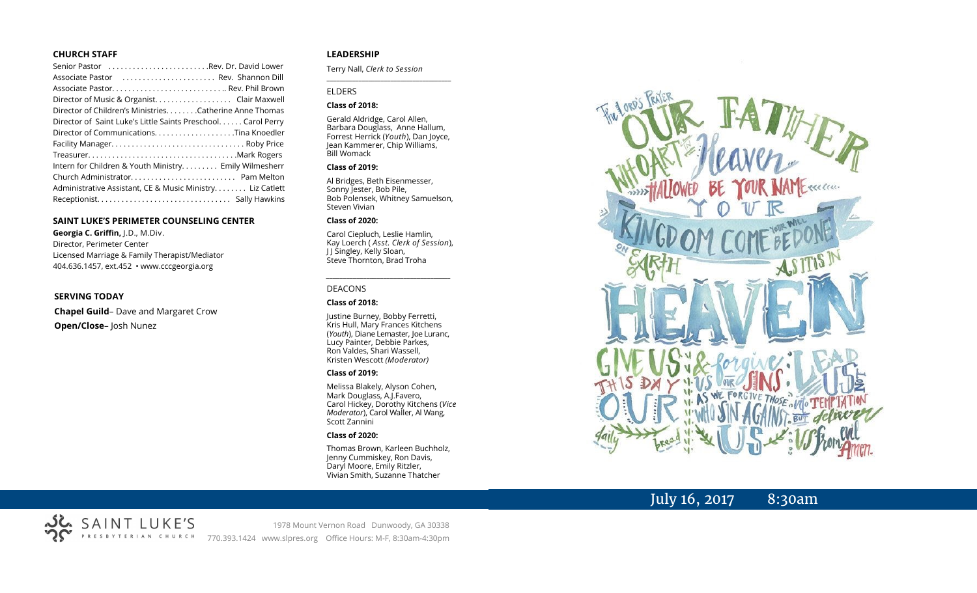#### **CHURCH STAFF**

| Senior Pastor Rev. Dr. David Lower                           |
|--------------------------------------------------------------|
| Associate Pastor  Rev. Shannon Dill                          |
|                                                              |
|                                                              |
| Director of Children's Ministries. Catherine Anne Thomas     |
| Director of Saint Luke's Little Saints Preschool Carol Perry |
|                                                              |
|                                                              |
|                                                              |
| Intern for Children & Youth Ministry Emily Wilmesherr        |
|                                                              |
| Administrative Assistant, CE & Music Ministry Liz Catlett    |
|                                                              |

#### **SAINT LUKE'S PERIMETER COUNSELING CENTER**

**Georgia C. Griffin,** J.D., M.Div. Director, Perimeter Center Licensed Marriage & Family Therapist/Mediator 404.636.1457, ext.452 • www.cccgeorgia.org

#### **SERVING TODAY**

**Chapel Guild**– Dave and Margaret Crow **Open/Close**– Josh Nunez

SAINT LUKE'S

PRESBYTERIAN CHURCH

#### **LEADERSHIP**

Terry Nall, *Clerk to Session* 

#### ELDERS

#### **Class of 2018:**

Gerald Aldridge, Carol Allen, Barbara Douglass, Anne Hallum, Forrest Herrick (*Youth*), Dan Joyce, Jean Kammerer, Chip Williams, Bill Womack

**\_\_\_\_\_\_\_\_\_\_\_\_\_\_\_\_\_\_\_\_\_\_\_\_\_\_\_\_\_\_\_\_\_\_\_\_\_\_\_**

#### **Class of 2019:**

Al Bridges, Beth Eisenmesser, Sonny Jester, Bob Pile, Bob Polensek, Whitney Samuelson, Steven Vivian

#### **Class of 2020:**

Carol Ciepluch, Leslie Hamlin, Kay Loerch ( *Asst. Clerk of Session*), J J Singley, Kelly Sloan, Steve Thornton, Brad Troha

*\_\_\_\_\_\_\_\_\_\_\_\_\_\_\_\_\_\_\_\_\_\_\_\_\_\_\_\_\_\_\_\_\_\_\_\_\_*

#### DEACONS

#### **Class of 2018:**

Justine Burney, Bobby Ferretti, Kris Hull, Mary Frances Kitchens (*Youth*), Diane Lemaster, Joe Luranc, Lucy Painter, Debbie Parkes, Ron Valdes, Shari Wassell, Kristen Wescott *(Moderator)*

#### **Class of 2019:**

Melissa Blakely, Alyson Cohen, Mark Douglass, A.J.Favero, Carol Hickey, Dorothy Kitchens (*Vice Moderator*), Carol Waller, Al Wang, Scott Zannini

#### **Class of 2020:**

Thomas Brown, Karleen Buchholz, Jenny Cummiskey, Ron Davis, Daryl Moore, Emily Ritzler, Vivian Smith, Suzanne Thatcher



### July 16, 2017 8:30am

1978 Mount Vernon Road Dunwoody, GA 30338 770.393.1424 www.slpres.org Office Hours: M-F, 8:30am-4:30pm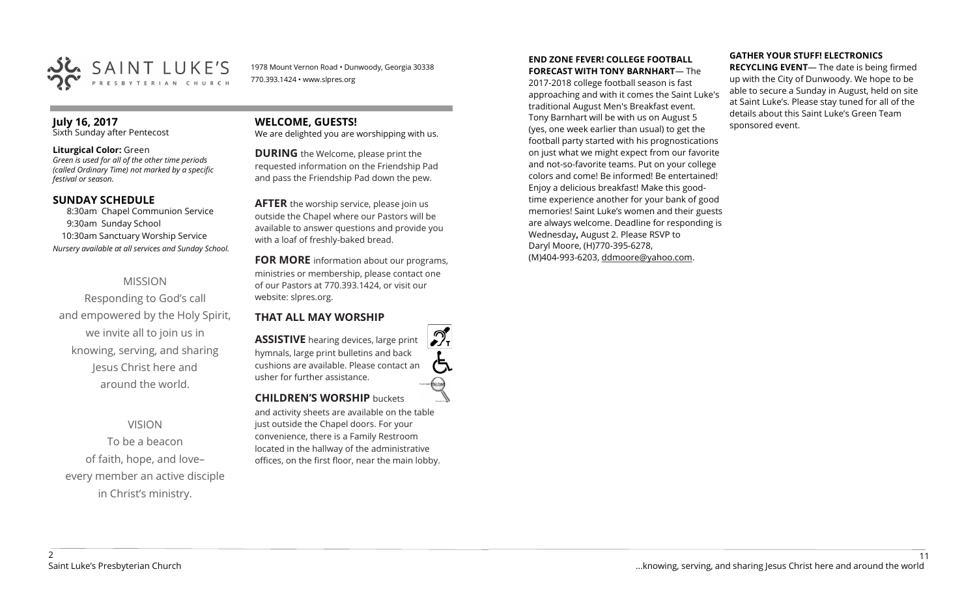

1978 Mount Vernon Road • Dunwoody, Georgia 30338 770.393.1424 • www.slpres.org

### **July 16, 2017**

Sixth Sunday after Pentecost

#### **Liturgical Color:** Green

*Green is used for all of the other time periods (called Ordinary Time) not marked by a specific festival or season.*

#### **SUNDAY SCHEDULE**

8:30am Chapel Communion Service 9:30am Sunday School 10:30am Sanctuary Worship Service *Nursery available at all services and Sunday School.*

#### MISSION

Responding to God's call and empowered by the Holy Spirit, we invite all to join us in knowing, serving, and sharing Jesus Christ here and around the world.

#### VISION

To be a beacon of faith, hope, and love– every member an active disciple in Christ's ministry.

### **WELCOME, GUESTS!**

We are delighted you are worshipping with us.

**DURING** the Welcome, please print the requested information on the Friendship Pad and pass the Friendship Pad down the pew.

**AFTER** the worship service, please join us outside the Chapel where our Pastors will be available to answer questions and provide you with a loaf of freshly-baked bread.

**FOR MORE** information about our programs, ministries or membership, please contact one of our Pastors at 770.393.1424, or visit our website: slpres.org.

#### **THAT ALL MAY WORSHIP**

**ASSISTIVE** hearing devices, large print hymnals, large print bulletins and back cushions are available. Please contact an usher for further assistance. **CHILDREN'S WORSHIP** buckets

and activity sheets are available on the table just outside the Chapel doors. For your convenience, there is a Family Restroom located in the hallway of the administrative offices, on the first floor, near the main lobby.

#### **END ZONE FEVER! COLLEGE FOOTBALL FORECAST WITH TONY BARNHART**— The

2017-2018 college football season is fast approaching and with it comes the Saint Luke's traditional August Men's Breakfast event. Tony Barnhart will be with us on August 5 (yes, one week earlier than usual) to get the football party started with his prognostications on just what we might expect from our favorite and not-so-favorite teams. Put on your college colors and come! Be informed! Be entertained! Enjoy a delicious breakfast! Make this goodtime experience another for your bank of good memories! Saint Luke's women and their guests are always welcome. Deadline for responding is Wednesday**,** August 2. Please RSVP to Daryl Moore, (H)770-395-6278, (M)404-993-6203, [ddmoore@yahoo.com.](mailto:ddmoore@yahoo.com)

#### **GATHER YOUR STUFF! ELECTRONICS**

**RECYCLING EVENT**— The date is being firmed up with the City of Dunwoody. We hope to be able to secure a Sunday in August, held on site at Saint Luke's. Please stay tuned for all of the details about this Saint Luke's Green Team sponsored event.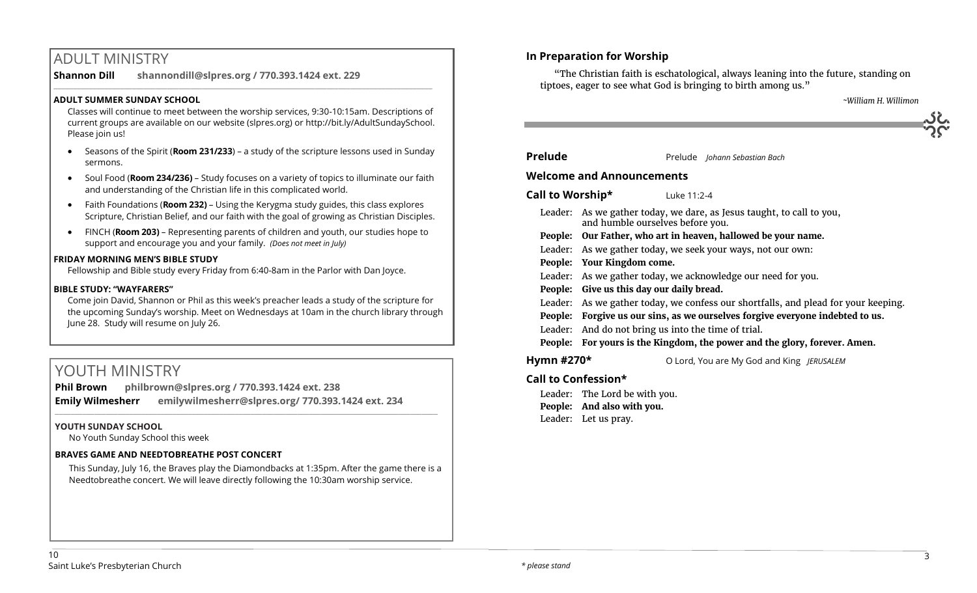### ADULT MINISTRY

**Shannon Dill shannondill@slpres.org / 770.393.1424 ext. 229**   $\_$  ,  $\_$  ,  $\_$  ,  $\_$  ,  $\_$  ,  $\_$  ,  $\_$  ,  $\_$  ,  $\_$  ,  $\_$  ,  $\_$  ,  $\_$  ,  $\_$  ,  $\_$  ,  $\_$  ,  $\_$  ,  $\_$  ,  $\_$  ,  $\_$  ,  $\_$ 

#### **ADULT SUMMER SUNDAY SCHOOL**

Classes will continue to meet between the worship services, 9:30-10:15am. Descriptions of current groups are available on our website (slpres.org) or http://bit.ly/AdultSundaySchool. Please join us!

- Seasons of the Spirit (**Room 231/233**) a study of the scripture lessons used in Sunday sermons.
- Soul Food (**Room 234/236)**  Study focuses on a variety of topics to illuminate our faith and understanding of the Christian life in this complicated world.
- Faith Foundations (**Room 232)**  Using the Kerygma study guides, this class explores Scripture, Christian Belief, and our faith with the goal of growing as Christian Disciples.
- FINCH (**Room 203)** Representing parents of children and youth, our studies hope to support and encourage you and your family. *(Does not meet in July)*

#### **FRIDAY MORNING MEN'S BIBLE STUDY**

Fellowship and Bible study every Friday from 6:40-8am in the Parlor with Dan Joyce.

#### **BIBLE STUDY: "WAYFARERS"**

Come join David, Shannon or Phil as this week's preacher leads a study of the scripture for the upcoming Sunday's worship. Meet on Wednesdays at 10am in the church library through June 28. Study will resume on July 26.

### YOUTH MINISTRY

**Phil Brown philbrown@slpres.org / 770.393.1424 ext. 238 Emily Wilmesherr emilywilmesherr@slpres.org/ 770.393.1424 ext. 234**   $\_$  ,  $\_$  ,  $\_$  ,  $\_$  ,  $\_$  ,  $\_$  ,  $\_$  ,  $\_$  ,  $\_$  ,  $\_$  ,  $\_$  ,  $\_$  ,  $\_$  ,  $\_$  ,  $\_$  ,  $\_$  ,  $\_$  ,  $\_$  ,  $\_$  ,  $\_$  ,  $\_$  ,  $\_$  ,  $\_$  ,  $\_$  ,  $\_$  ,  $\_$  ,  $\_$  ,  $\_$  ,  $\_$  ,  $\_$  ,  $\_$  ,  $\_$  ,  $\_$  ,  $\_$  ,  $\_$  ,  $\_$  ,  $\_$  ,

#### **YOUTH SUNDAY SCHOOL**

No Youth Sunday School this week

#### **BRAVES GAME AND NEEDTOBREATHE POST CONCERT**

This Sunday, July 16, the Braves play the Diamondbacks at 1:35pm. After the game there is a Needtobreathe concert. We will leave directly following the 10:30am worship service.

#### **In Preparation for Worship**

"The Christian faith is eschatological, always leaning into the future, standing on tiptoes, eager to see what God is bringing to birth among us."

 *~William H. Willimon*

| <b>Prelude</b>                   | Prelude Johann Sebastian Bach                                                                             |  |  |  |
|----------------------------------|-----------------------------------------------------------------------------------------------------------|--|--|--|
| <b>Welcome and Announcements</b> |                                                                                                           |  |  |  |
| Call to Worship*                 | Luke 11:2-4                                                                                               |  |  |  |
|                                  | Leader: As we gather today, we dare, as Jesus taught, to call to you,<br>and humble ourselves before you. |  |  |  |
|                                  | People: Our Father, who art in heaven, hallowed be your name.                                             |  |  |  |
|                                  | Leader: As we gather today, we seek your ways, not our own:                                               |  |  |  |
|                                  | People: Your Kingdom come.                                                                                |  |  |  |
|                                  | Leader: As we gather today, we acknowledge our need for you.                                              |  |  |  |
|                                  | People: Give us this day our daily bread.                                                                 |  |  |  |
|                                  | Leader: As we gather today, we confess our shortfalls, and plead for your keeping.                        |  |  |  |
|                                  | People: Forgive us our sins, as we ourselves forgive everyone indebted to us.                             |  |  |  |
| Leader:                          | And do not bring us into the time of trial.                                                               |  |  |  |
|                                  | People: For yours is the Kingdom, the power and the glory, forever. Amen.                                 |  |  |  |
| Hymn #270*                       | O Lord, You are My God and King JERUSALEM                                                                 |  |  |  |
|                                  |                                                                                                           |  |  |  |

### **Call to Confession\***

Leader: The Lord be with you. **People: And also with you.** Leader: Let us pray.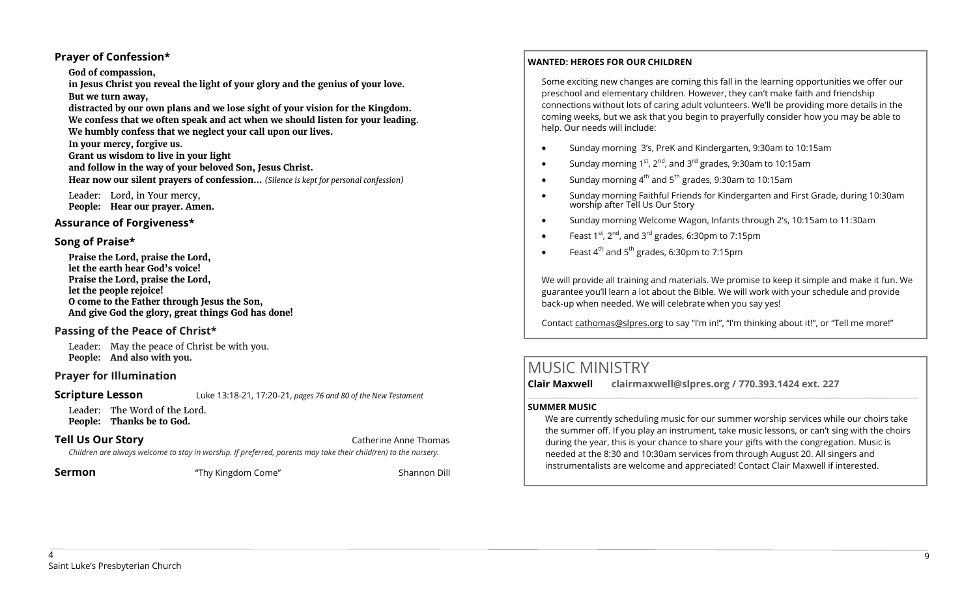#### **Prayer of Confession\***

#### **God of compassion,**

**in Jesus Christ you reveal the light of your glory and the genius of your love. But we turn away,** 

**distracted by our own plans and we lose sight of your vision for the Kingdom. We confess that we often speak and act when we should listen for your leading. We humbly confess that we neglect your call upon our lives.** 

**In your mercy, forgive us. Grant us wisdom to live in your light and follow in the way of your beloved Son, Jesus Christ. Hear now our silent prayers of confession…** *(Silence is kept for personal confession)* 

Leader: Lord, in Your mercy, **People: Hear our prayer. Amen.**

#### **Assurance of Forgiveness\***

#### **Song of Praise\***

**Praise the Lord, praise the Lord, let the earth hear God's voice! Praise the Lord, praise the Lord, let the people rejoice! O come to the Father through Jesus the Son, And give God the glory, great things God has done!** 

#### **Passing of the Peace of Christ\***

Leader: May the peace of Christ be with you. **People: And also with you.**

#### **Prayer for Illumination**

**Scripture Lesson** Luke 13:18-21, 17:20-21, *pages 76 and 80 of the New Testament* 

Leader: The Word of the Lord. **People: Thanks be to God.**

**Tell Us Our Story Catherine Anne Thomas Catherine Anne Thomas Catherine Anne Thomas** 

*Children are always welcome to stay in worship. If preferred, parents may take their child(ren) to the nursery.*

**Sermon** Thy Kingdom Come" Shannon Dill

#### **WANTED: HEROES FOR OUR CHILDREN**

Some exciting new changes are coming this fall in the learning opportunities we offer our preschool and elementary children. However, they can't make faith and friendship connections without lots of caring adult volunteers. We'll be providing more details in the coming weeks, but we ask that you begin to prayerfully consider how you may be able to help. Our needs will include:

- Sunday morning 3's, PreK and Kindergarten, 9:30am to 10:15am
- Sunday morning  $1^{st}$ ,  $2^{nd}$ , and  $3^{rd}$  grades, 9:30am to 10:15am
- $\bullet$  Sunday morning 4<sup>th</sup> and 5<sup>th</sup> grades, 9:30am to 10:15am
- Sunday morning Faithful Friends for Kindergarten and First Grade, during 10:30am worship after Tell Us Our Story
- Sunday morning Welcome Wagon, Infants through 2's, 10:15am to 11:30am
- Feast  $1^{st}$ ,  $2^{nd}$ , and  $3^{rd}$  grades, 6:30pm to 7:15pm
- $\bullet$  Feast 4<sup>th</sup> and 5<sup>th</sup> grades, 6:30pm to 7:15pm

We will provide all training and materials. We promise to keep it simple and make it fun. We guarantee you'll learn a lot about the Bible. We will work with your schedule and provide back-up when needed. We will celebrate when you say yes!

Contact [cathomas@slpres.org](mailto:cathomas@slpres.org) to say "I'm in!", "I'm thinking about it!", or "Tell me more!"

## MUSIC MINISTRY

**Clair Maxwell clairmaxwell@slpres.org / 770.393.1424 ext. 227**   $\_$  ,  $\_$  ,  $\_$  ,  $\_$  ,  $\_$  ,  $\_$  ,  $\_$  ,  $\_$  ,  $\_$  ,  $\_$  ,  $\_$  ,  $\_$  ,  $\_$  ,  $\_$  ,  $\_$  ,  $\_$  ,  $\_$  ,  $\_$  ,  $\_$  ,  $\_$  ,  $\_$  ,  $\_$  ,  $\_$  ,  $\_$  ,  $\_$  ,  $\_$  ,  $\_$  ,  $\_$  ,  $\_$  ,  $\_$  ,  $\_$  ,  $\_$  ,  $\_$  ,  $\_$  ,  $\_$  ,  $\_$  ,  $\_$  ,

#### **SUMMER MUSIC**

We are currently scheduling music for our summer worship services while our choirs take the summer off. If you play an instrument, take music lessons, or can't sing with the choirs during the year, this is your chance to share your gifts with the congregation. Music is needed at the 8:30 and 10:30am services from through August 20. All singers and instrumentalists are welcome and appreciated! Contact Clair Maxwell if interested.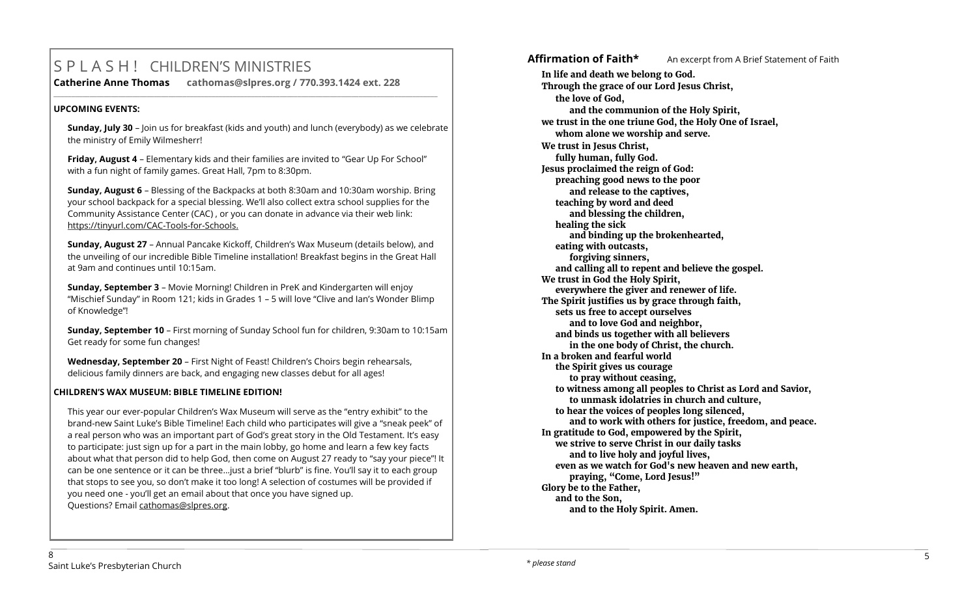## S P L A S H ! CHILDREN'S MINISTRIES

**Catherine Anne Thomas cathomas@slpres.org / 770.393.1424 ext. 228 \_\_\_\_\_\_\_\_\_\_\_\_\_\_\_\_\_\_\_\_\_\_\_\_\_\_\_\_\_\_\_\_\_\_\_\_\_\_\_\_\_\_\_\_\_\_\_\_\_\_\_\_\_\_\_\_\_\_\_\_\_\_\_\_\_\_\_\_\_\_\_\_\_\_\_\_\_\_\_\_\_\_\_\_\_\_\_\_\_\_\_\_\_\_\_\_\_\_\_\_\_\_\_\_\_\_\_** 

#### **UPCOMING EVENTS:**

**Sunday, July 30** – Join us for breakfast (kids and youth) and lunch (everybody) as we celebrate the ministry of Emily Wilmesherr!

**Friday, August 4** – Elementary kids and their families are invited to "Gear Up For School" with a fun night of family games. Great Hall, 7pm to 8:30pm.

**Sunday, August 6** – Blessing of the Backpacks at both 8:30am and 10:30am worship. Bring your school backpack for a special blessing. We'll also collect extra school supplies for the Community Assistance Center (CAC) , or you can donate in advance via their web link: https://tinyurl.com/CAC-Tools-for-Schools.

**Sunday, August 27** – Annual Pancake Kickoff, Children's Wax Museum (details below), and the unveiling of our incredible Bible Timeline installation! Breakfast begins in the Great Hall at 9am and continues until 10:15am.

**Sunday, September 3** – Movie Morning! Children in PreK and Kindergarten will enjoy "Mischief Sunday" in Room 121; kids in Grades 1 – 5 will love "Clive and Ian's Wonder Blimp of Knowledge"!

**Sunday, September 10** – First morning of Sunday School fun for children, 9:30am to 10:15am Get ready for some fun changes!

**Wednesday, September 20** – First Night of Feast! Children's Choirs begin rehearsals, delicious family dinners are back, and engaging new classes debut for all ages!

#### **CHILDREN'S WAX MUSEUM: BIBLE TIMELINE EDITION!**

This year our ever-popular Children's Wax Museum will serve as the "entry exhibit" to the brand-new Saint Luke's Bible Timeline! Each child who participates will give a "sneak peek" of a real person who was an important part of God's great story in the Old Testament. It's easy to participate: just sign up for a part in the main lobby, go home and learn a few key facts about what that person did to help God, then come on August 27 ready to "say your piece"! It can be one sentence or it can be three…just a brief "blurb" is fine. You'll say it to each group that stops to see you, so don't make it too long! A selection of costumes will be provided if you need one - you'll get an email about that once you have signed up. Questions? Email [cathomas@slpres.org.](mailto:cathomas@slpres.org)

Affirmation of Faith<sup>\*</sup> An excerpt from A Brief Statement of Faith **In life and death we belong to God. Through the grace of our Lord Jesus Christ, the love of God, and the communion of the Holy Spirit, we trust in the one triune God, the Holy One of Israel, whom alone we worship and serve. We trust in Jesus Christ, fully human, fully God. Jesus proclaimed the reign of God: preaching good news to the poor and release to the captives, teaching by word and deed and blessing the children, healing the sick and binding up the brokenhearted, eating with outcasts, forgiving sinners, and calling all to repent and believe the gospel. We trust in God the Holy Spirit, everywhere the giver and renewer of life. The Spirit justifies us by grace through faith, sets us free to accept ourselves and to love God and neighbor, and binds us together with all believers in the one body of Christ, the church. In a broken and fearful world the Spirit gives us courage to pray without ceasing, to witness among all peoples to Christ as Lord and Savior, to unmask idolatries in church and culture, to hear the voices of peoples long silenced, and to work with others for justice, freedom, and peace. In gratitude to God, empowered by the Spirit, we strive to serve Christ in our daily tasks and to live holy and joyful lives, even as we watch for God's new heaven and new earth, praying, "Come, Lord Jesus!" Glory be to the Father, and to the Son, and to the Holy Spirit. Amen.**